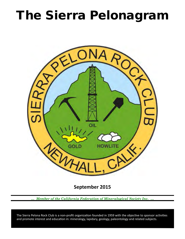## The Sierra Pelonagram



**September 2015**

*… Member of the California Federation of Mineralogical Society Inc. …*

 and promote interest and education in: mineralogy, lapidary, geology, paleontology and related subjects. The Sierra Pelona Rock Club is a non-profit organization founded in 1959 with the objective to sponsor activities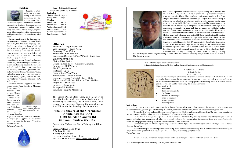### **Officers:**

President – Greg Langewisch Vice‑President – Trina Aeen Secretary: Tina White Treasurer – Ron Rackliffe Federation Director (CFMS/AFMS) – Shep Koss

## **Chairpersons:**

Claim--Mike Serino Donation Rock Table--Akiko Strathmann Equipment--Bill Webber Field Trips – Open Historian ‑Open Hospitality – Tina White Membership – Heidi Webber On-Line Presence (website)-- Larry Holt Pelonagram Publisher, Editor – Heidi Webber Programs – Shep Koss Publicity –Bruce Velie Storage--Bill Webber Sunshine--Brigitte Mazourek

The Sierra Pelona Rock Club, is a member of the California and American Federation of Mineralogical Societies, Inc. (CFMS/AFMS). The general club meetings (Open to the public) are at 7:30 PM, on the 3rd Tuesday of each month at:

## **The Clubhouse of the Greenbrier Mobile Estates EAST 21301 Soledad Canyon Rd Canyon Country, CA 91351**

Contact the Club or the Sierra Pelonagram Editor at:

**Sierra Pelona Rock Club P.O. Box 221256 Newhall, Ca. 91322** Or e‑mail: hwebber@pacbell.net *Visit the SPRC website [www.sierrapelona.com](http://www.sierrapelona.com/)*



#### **How to Carve Sandstone**

By Leslie Renico eHow Contributor

There are many examples of intricate artwork from ancient cultures, particularly in the Indian peninsula, that were carved from sandstone. Because other materials such as granite and marble are not as brittle as sandstone, it has lost some popularity as a carving medium. However, it is still possible to render beautiful works using this sedimentary rock. Things You'll Need

Mark specific spots for cuts with a pencil right on the sandstone. If you have certain lines you want to follow, go ahead and draw those on the surface.

• Sandpaper

- Leatherworking picks
- Sandstone
- Face mask for allergens
- Sheet or tarpaulin
- Drawing paper Pens or pencils

#### **Instructions**

• Cover your work area with a large tarpaulin or sheet and put on a face mask. When you apply the sandpaper to the stone or start to pick at the stone, you will get a lot of flaking. In addition, sandstone contains silica, which can cause respiratory problems.

Sapphire: Madagascar amounts of elements such as iron, titanium, chromium, copper, or magnesium can give corundum respectively blue, yellow, purple, orange, or green color. Chromium impurities in corundum yield pink or red tint, the latter being called ruby.

> • Draw a sketch of your sculpture idea on a piece of paper, preferably from at least two different views. Having a visual idea of what you want to make will help when it comes to shaping and refining the sandstone piece.

> • Use sandpaper to change the shape of the piece of sandstone before starting refining touches. Any cutting that you do with a carving tool suited for a harder rock will take away too much in flaking for you to retain a fine shape, so if you have a specific shape in mind, use sandpaper to wear away edges and corners interfering with that shape.

> • Follow the lines you made with your leatherworking picks. Work at a slow but steady pace to reduce the chance of knocking off larger chunks with speed while also reducing the chance of losing your line by going too slowly. Tips & Warnings

Remember to wear protection over your mouth and nose so that you do not inhale the silica from sandstone.

*Read more : http://www.ehow.com/how\_8336269\_carve-sandstone.html*

## **Happy Birthday to Everyone!**

I hope your special day is wonderful! **September**

Therese Edwards Sept. 5

Sandy White Sept. 18 **October** Omid Aeen Oct. 4<br>Linda Castro Oct. 1 Linda Castro William Edwards Oct. 2 Olive Edwards Oct 20 William Edwards Oct 10 Jane Sheppard Oct 6



 Sapphire is a typically blue gemstone variety of the mineral corundum, an aluminium oxide. Trace

 The sapphire is one of the three gem-varieties of corundum (9 on the Mohs' hardness scale), the other two being ruby – defined as corundum in a shade of red, and padparadscha – a pinkish orange variety. Although blue is their most well-known color, sapphires may also be colorless and they are found in many colors including shades of gray and black.

 Sapphires are mined from alluvial deposits or from primary underground workings. Commercial mining locations for sapphire and ruby include (but are not limited to) the following countries: Afghanistan, Australia, Myanmar/Burma, Cambodia, China, Colombia, India, Kenya, Laos, Madagascar, Malawi, Nepal, Nigeria, Pakistan, Sri Lanka, Tajikistan, Tanzania, Thailand, USA, and Vietnam.

 In North America, sapphires have been mined mostly from deposits in Montana: fancies along the

Missouri River near Helena, Montana, Dry C o t t o n w o o d Creek near Missoula, Montana, and Rock Creek near Philipsburg,

Montana. Fine blue Yogo sapphires are found at



Yogo Gulch west of Lewistown, Montana. A few gem-grade sapphires and rubies have also been found in the area of Franklin, North Carolina.

*Reference: Wikipedia*



#### **Sapphire**



*An uncut, rough yellow sapphire from the Spokane Sapphire Mine* 

President's Message is unavailable this month. Minutes to both the Business Meeting and the General Meeting are unavailable this month.



On Tuesday September 1st the rockhounding community lost a member who was in a class all by himself. As many of you know, Shep Koss recently passed from an aggressive illness. Shep was born in Germany, immigrated to Boyle Heights and later moved to Ohio where he got a degree from the University of Miami. He was a teacher, car salesman, and hotel night manager but he found rockhounding late in life. His love became a passion and he became an expert in the field. He was admired by all and passed on this extensive knowledge to the rockhound community. He made finds that are almost beyond belief, finding two out of three known brain casts of an extinct sea lion species. He served as the SPRC Federation Director for most of his almost eleven years in the SPRC. He lead many rock collecting trips for the SPRC and the federation. He went on many more, often by himself to collecting sites he read or heard about. He used that experience to co-authored and edited two rockhound books. His favorite trips had to be to Sharktooth Hill, CA for shark teeth, Pala, CA for tourmaline, Plush, OR for sunstone and Virgin Valley, NV for opal. One double-terminated tourmaline crystal he found was of museum quality. He was known by all and loved by many. He will be greatly missed, not only by his brother Barry but by the whole rockhounding community. Let us find comfort in knowing that Shep is in a better place and no longer suffering any pain. He is probably still collecting many beautiful rocks and minerals.

May he rest in peace.